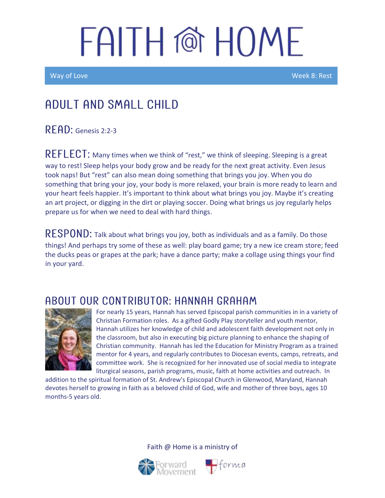Way of Love New York Control of the Control of the Control of the Control of the Week 8: Rest

### Adult and Small Child

READ: Genesis 2:2-3

REFLECT: Many times when we think of "rest," we think of sleeping. Sleeping is a great way to rest! Sleep helps your body grow and be ready for the next great activity. Even Jesus took naps! But "rest" can also mean doing something that brings you joy. When you do something that bring your joy, your body is more relaxed, your brain is more ready to learn and your heart feels happier. It's important to think about what brings you joy. Maybe it's creating an art project, or digging in the dirt or playing soccer. Doing what brings us joy regularly helps prepare us for when we need to deal with hard things.

 $\mathsf{RESPOND}\text{:}$  Talk about what brings you joy, both as individuals and as a family. Do those things! And perhaps try some of these as well: play board game; try a new ice cream store; feed the ducks peas or grapes at the park; have a dance party; make a collage using things your find in your yard.

#### ABOUT OUR CONTRIBUTOR: HANNAH GRAHAM



For nearly 15 years, Hannah has served Episcopal parish communities in in a variety of Christian Formation roles. As a gifted Godly Play storyteller and youth mentor, Hannah utilizes her knowledge of child and adolescent faith development not only in the classroom, but also in executing big picture planning to enhance the shaping of Christian community. Hannah has led the Education for Ministry Program as a trained mentor for 4 years, and regularly contributes to Diocesan events, camps, retreats, and committee work. She is recognized for her innovated use of social media to integrate liturgical seasons, parish programs, music, faith at home activities and outreach. In

addition to the spiritual formation of St. Andrew's Episcopal Church in Glenwood, Maryland, Hannah devotes herself to growing in faith as a beloved child of God, wife and mother of three boys, ages 10 months-5 years old.



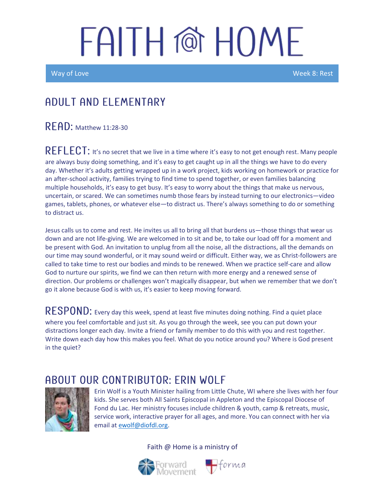Ī

Way of Love Week 8: Rest

#### A DULT AND ELEMENTARY

 $R$  $F$  $AD:$  Matthew 11:28-30

REFLECT: It's no secret that we live in a time where it's easy to not get enough rest. Many people are always busy doing something, and it's easy to get caught up in all the things we have to do every day. Whether it's adults getting wrapped up in a work project, kids working on homework or practice for an after-school activity, families trying to find time to spend together, or even families balancing multiple households, it's easy to get busy. It's easy to worry about the things that make us nervous, uncertain, or scared. We can sometimes numb those fears by instead turning to our electronics—video games, tablets, phones, or whatever else—to distract us. There's always something to do or something to distract us.

Jesus calls us to come and rest. He invites us all to bring all that burdens us—those things that wear us down and are not life-giving. We are welcomed in to sit and be, to take our load off for a moment and be present with God. An invitation to unplug from all the noise, all the distractions, all the demands on our time may sound wonderful, or it may sound weird or difficult. Either way, we as Christ-followers are called to take time to rest our bodies and minds to be renewed. When we practice self-care and allow God to nurture our spirits, we find we can then return with more energy and a renewed sense of direction. Our problems or challenges won't magically disappear, but when we remember that we don't go it alone because God is with us, it's easier to keep moving forward.

 $\mathsf{RESPOND}\text{: }$  Every day this week, spend at least five minutes doing nothing. Find a quiet place where you feel comfortable and just sit. As you go through the week, see you can put down your distractions longer each day. Invite a friend or family member to do this with you and rest together. Write down each day how this makes you feel. What do you notice around you? Where is God present in the quiet?

#### ABOUT OUR CONTRIBUTOR: ERIN WOLF



Erin Wolf is a Youth Minister hailing from Little Chute, WI where she lives with her four kids. She serves both All Saints Episcopal in Appleton and the Episcopal Diocese of Fond du Lac. Her ministry focuses include children & youth, camp & retreats, music, service work, interactive prayer for all ages, and more. You can connect with her via email a[t ewolf@diofdl.org.](mailto:ewolf@diofdl.org)



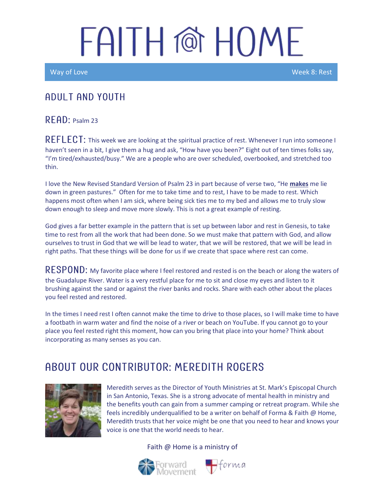Way of Love New York 2008 and the United States of the United States and Week 8: Rest

#### ADULT AND YOUTH

 $R$   $F$  $R$  $D$ : Psalm 23

REFLECT: This week we are looking at the spiritual practice of rest. Whenever I run into someone I haven't seen in a bit, I give them a hug and ask, "How have you been?" Eight out of ten times folks say, "I'm tired/exhausted/busy." We are a people who are over scheduled, overbooked, and stretched too thin.

I love the New Revised Standard Version of Psalm 23 in part because of verse two, "He **makes** me lie down in green pastures." Often for me to take time and to rest, I have to be made to rest. Which happens most often when I am sick, where being sick ties me to my bed and allows me to truly slow down enough to sleep and move more slowly. This is not a great example of resting.

God gives a far better example in the pattern that is set up between labor and rest in Genesis, to take time to rest from all the work that had been done. So we must make that pattern with God, and allow ourselves to trust in God that we will be lead to water, that we will be restored, that we will be lead in right paths. That these things will be done for us if we create that space where rest can come.

RESPOND: My favorite place where I feel restored and rested is on the beach or along the waters of the Guadalupe River. Water is a very restful place for me to sit and close my eyes and listen to it brushing against the sand or against the river banks and rocks. Share with each other about the places you feel rested and restored.

In the times I need rest I often cannot make the time to drive to those places, so I will make time to have a footbath in warm water and find the noise of a river or beach on YouTube. If you cannot go to your place you feel rested right this moment, how can you bring that place into your home? Think about incorporating as many senses as you can.

### AROUT OUR CONTRIBUTOR: MEREDITH ROGERS



Meredith serves as the Director of Youth Ministries at St. Mark's Episcopal Church in San Antonio, Texas. She is a strong advocate of mental health in ministry and the benefits youth can gain from a summer camping or retreat program. While she feels incredibly underqualified to be a writer on behalf of Forma & Faith @ Home, Meredith trusts that her voice might be one that you need to hear and knows your voice is one that the world needs to hear.

 $\bigoplus$ forma